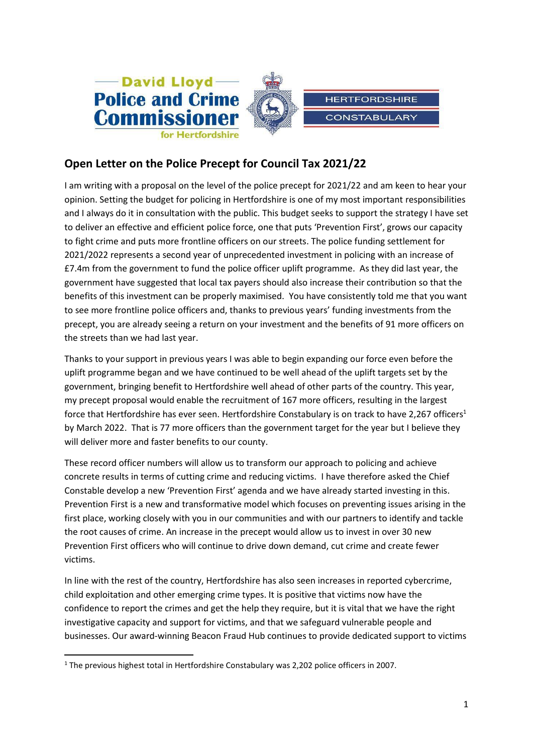

# **Open Letter on the Police Precept for Council Tax 2021/22**

I am writing with a proposal on the level of the police precept for 2021/22 and am keen to hear your opinion. Setting the budget for policing in Hertfordshire is one of my most important responsibilities and I always do it in consultation with the public. This budget seeks to support the strategy I have set to deliver an effective and efficient police force, one that puts 'Prevention First', grows our capacity to fight crime and puts more frontline officers on our streets. The police funding settlement for 2021/2022 represents a second year of unprecedented investment in policing with an increase of £7.4m from the government to fund the police officer uplift programme. As they did last year, the government have suggested that local tax payers should also increase their contribution so that the benefits of this investment can be properly maximised. You have consistently told me that you want to see more frontline police officers and, thanks to previous years' funding investments from the precept, you are already seeing a return on your investment and the benefits of 91 more officers on the streets than we had last year.

Thanks to your support in previous years I was able to begin expanding our force even before the uplift programme began and we have continued to be well ahead of the uplift targets set by the government, bringing benefit to Hertfordshire well ahead of other parts of the country. This year, my precept proposal would enable the recruitment of 167 more officers, resulting in the largest force that Hertfordshire has ever seen. Hertfordshire Constabulary is on track to have 2,267 officers<sup>1</sup> by March 2022. That is 77 more officers than the government target for the year but I believe they will deliver more and faster benefits to our county.

These record officer numbers will allow us to transform our approach to policing and achieve concrete results in terms of cutting crime and reducing victims. I have therefore asked the Chief Constable develop a new 'Prevention First' agenda and we have already started investing in this. Prevention First is a new and transformative model which focuses on preventing issues arising in the first place, working closely with you in our communities and with our partners to identify and tackle the root causes of crime. An increase in the precept would allow us to invest in over 30 new Prevention First officers who will continue to drive down demand, cut crime and create fewer victims.

In line with the rest of the country, Hertfordshire has also seen increases in reported cybercrime, child exploitation and other emerging crime types. It is positive that victims now have the confidence to report the crimes and get the help they require, but it is vital that we have the right investigative capacity and support for victims, and that we safeguard vulnerable people and businesses. Our award-winning Beacon Fraud Hub continues to provide dedicated support to victims

**.** 

<sup>&</sup>lt;sup>1</sup> The previous highest total in Hertfordshire Constabulary was 2,202 police officers in 2007.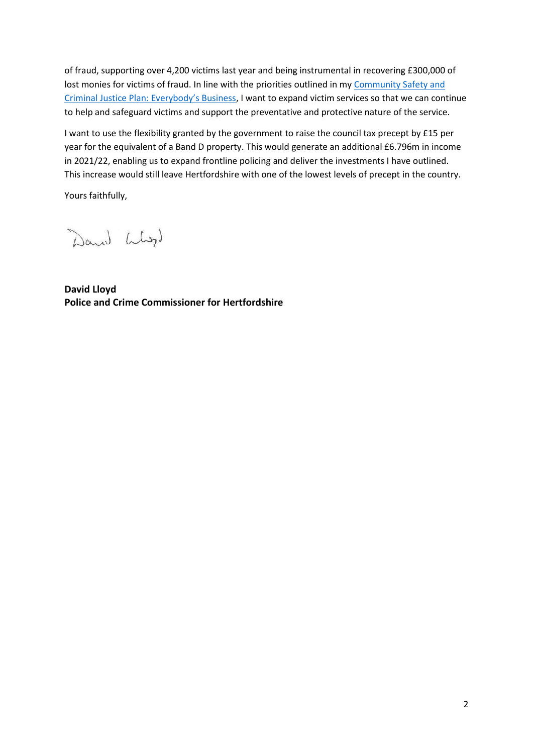of fraud, supporting over 4,200 victims last year and being instrumental in recovering £300,000 of lost monies for victims of fraud. In line with the priorities outlined in my Community Safety and Criminal [Justice Plan: Everybody's Business](https://www.hertscommissioner.org/fluidcms/files/files/pdf/Police-and-Crime-Plan/109614-Herts-Con-Everybodys-Business-v2.pdf), I want to expand victim services so that we can continue to help and safeguard victims and support the preventative and protective nature of the service.

I want to use the flexibility granted by the government to raise the council tax precept by £15 per year for the equivalent of a Band D property. This would generate an additional £6.796m in income in 2021/22, enabling us to expand frontline policing and deliver the investments I have outlined. This increase would still leave Hertfordshire with one of the lowest levels of precept in the country.

Yours faithfully,

Dann Liby)

**David Lloyd Police and Crime Commissioner for Hertfordshire**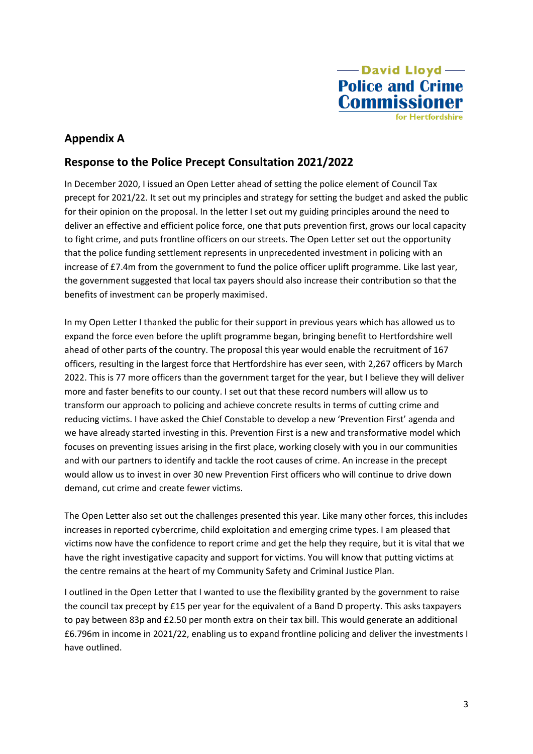

## **Appendix A**

## **Response to the Police Precept Consultation 2021/2022**

In December 2020, I issued an Open Letter ahead of setting the police element of Council Tax precept for 2021/22. It set out my principles and strategy for setting the budget and asked the public for their opinion on the proposal. In the letter I set out my guiding principles around the need to deliver an effective and efficient police force, one that puts prevention first, grows our local capacity to fight crime, and puts frontline officers on our streets. The Open Letter set out the opportunity that the police funding settlement represents in unprecedented investment in policing with an increase of £7.4m from the government to fund the police officer uplift programme. Like last year, the government suggested that local tax payers should also increase their contribution so that the benefits of investment can be properly maximised.

In my Open Letter I thanked the public for their support in previous years which has allowed us to expand the force even before the uplift programme began, bringing benefit to Hertfordshire well ahead of other parts of the country. The proposal this year would enable the recruitment of 167 officers, resulting in the largest force that Hertfordshire has ever seen, with 2,267 officers by March 2022. This is 77 more officers than the government target for the year, but I believe they will deliver more and faster benefits to our county. I set out that these record numbers will allow us to transform our approach to policing and achieve concrete results in terms of cutting crime and reducing victims. I have asked the Chief Constable to develop a new 'Prevention First' agenda and we have already started investing in this. Prevention First is a new and transformative model which focuses on preventing issues arising in the first place, working closely with you in our communities and with our partners to identify and tackle the root causes of crime. An increase in the precept would allow us to invest in over 30 new Prevention First officers who will continue to drive down demand, cut crime and create fewer victims.

The Open Letter also set out the challenges presented this year. Like many other forces, this includes increases in reported cybercrime, child exploitation and emerging crime types. I am pleased that victims now have the confidence to report crime and get the help they require, but it is vital that we have the right investigative capacity and support for victims. You will know that putting victims at the centre remains at the heart of my Community Safety and Criminal Justice Plan.

I outlined in the Open Letter that I wanted to use the flexibility granted by the government to raise the council tax precept by £15 per year for the equivalent of a Band D property. This asks taxpayers to pay between 83p and £2.50 per month extra on their tax bill. This would generate an additional £6.796m in income in 2021/22, enabling us to expand frontline policing and deliver the investments I have outlined.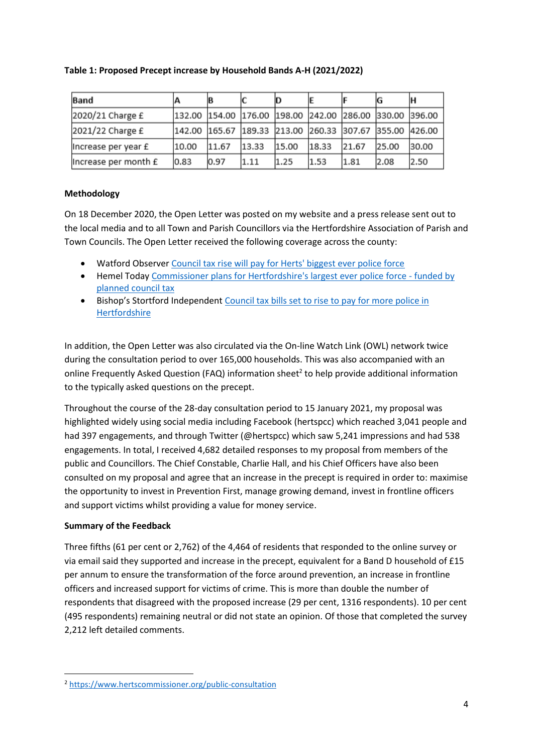| Table 1: Proposed Precept increase by Household Bands A-H (2021/2022) |  |  |
|-----------------------------------------------------------------------|--|--|
|                                                                       |  |  |

| <b>Band</b>          |                                                         |       |       | ID    |       |       |               | ΙH    |
|----------------------|---------------------------------------------------------|-------|-------|-------|-------|-------|---------------|-------|
| 2020/21 Charge £     | 132.00  154.00  176.00  198.00  242.00  286.00          |       |       |       |       |       | 330.00 396.00 |       |
| 2021/22 Charge £     | 142.00 165.67 189.33 213.00 260.33 307.67 355.00 426.00 |       |       |       |       |       |               |       |
| Increase per year £  | 10.00                                                   | 11.67 | 13.33 | 15.00 | 18.33 | 21.67 | 25.00         | 30.00 |
| Increase per month £ | 0.83                                                    | 0.97  | 1.11  | 1.25  | 1.53  | 1.81  | 2.08          | 2.50  |

## **Methodology**

On 18 December 2020, the Open Letter was posted on my website and a press release sent out to the local media and to all Town and Parish Councillors via the Hertfordshire Association of Parish and Town Councils. The Open Letter received the following coverage across the county:

- Watford Observe[r Council tax rise will pay for Herts' biggest ever police force](https://www.google.com/url?rct=j&sa=t&url=https://www.watfordobserver.co.uk/news/18972938.council-tax-rise-will-pay-herts-biggest-ever-police-force/&ct=ga&cd=CAEYACoTOTU4NDY1NTY2MjU1MjY3MzA5NTIaMDNjZWY2ZGM4ZWMyZmZhYTpjb206ZW46VVM&usg=AFQjCNGI6Ng3pfqTAMqVglEQWiB6AFlF0g)
- Hemel Today [Commissioner plans for Hertfordshire's largest ever police force -](https://www.google.com/url?rct=j&sa=t&url=https://www.hemeltoday.co.uk/news/people/commissioner-plans-hertfordshires-largest-ever-police-force-funded-planned-council-tax-increase-3077722&ct=ga&cd=CAEYACoTMzU0NzU4OTA5MzI5NTgxMjk2MDIaMDNjZWY2ZGM4ZWMyZmZhYTpjb206ZW46VVM&usg=AFQjCNEjbZ7HIWAHox8QMgP4Lh0gtEJFMA) funded by [planned council tax](https://www.google.com/url?rct=j&sa=t&url=https://www.hemeltoday.co.uk/news/people/commissioner-plans-hertfordshires-largest-ever-police-force-funded-planned-council-tax-increase-3077722&ct=ga&cd=CAEYACoTMzU0NzU4OTA5MzI5NTgxMjk2MDIaMDNjZWY2ZGM4ZWMyZmZhYTpjb206ZW46VVM&usg=AFQjCNEjbZ7HIWAHox8QMgP4Lh0gtEJFMA)
- Bishop's Stortford Independent [Council tax bills set to rise to pay for more police in](https://www.google.com/url?rct=j&sa=t&url=https://www.bishopsstortfordindependent.co.uk/news/herts-household-bill-for-police-set-to-rise-to-213-next-year-9146020/&ct=ga&cd=CAEYACoTMzI0NzcxMzU5MzY0MzM4NTkyMjIaMDNjZWY2ZGM4ZWMyZmZhYTpjb206ZW46VVM&usg=AFQjCNE0zrp197nytNhrsVpvCBdah3x2cg)  [Hertfordshire](https://www.google.com/url?rct=j&sa=t&url=https://www.bishopsstortfordindependent.co.uk/news/herts-household-bill-for-police-set-to-rise-to-213-next-year-9146020/&ct=ga&cd=CAEYACoTMzI0NzcxMzU5MzY0MzM4NTkyMjIaMDNjZWY2ZGM4ZWMyZmZhYTpjb206ZW46VVM&usg=AFQjCNE0zrp197nytNhrsVpvCBdah3x2cg)

In addition, the Open Letter was also circulated via the On-line Watch Link (OWL) network twice during the consultation period to over 165,000 households. This was also accompanied with an online Frequently Asked Question (FAQ) information sheet<sup>2</sup> to help provide additional information to the typically asked questions on the precept.

Throughout the course of the 28-day consultation period to 15 January 2021, my proposal was highlighted widely using social media including Facebook (hertspcc) which reached 3,041 people and had 397 engagements, and through Twitter (@hertspcc) which saw 5,241 impressions and had 538 engagements. In total, I received 4,682 detailed responses to my proposal from members of the public and Councillors. The Chief Constable, Charlie Hall, and his Chief Officers have also been consulted on my proposal and agree that an increase in the precept is required in order to: maximise the opportunity to invest in Prevention First, manage growing demand, invest in frontline officers and support victims whilst providing a value for money service.

## **Summary of the Feedback**

**.** 

Three fifths (61 per cent or 2,762) of the 4,464 of residents that responded to the online survey or via email said they supported and increase in the precept, equivalent for a Band D household of £15 per annum to ensure the transformation of the force around prevention, an increase in frontline officers and increased support for victims of crime. This is more than double the number of respondents that disagreed with the proposed increase (29 per cent, 1316 respondents). 10 per cent (495 respondents) remaining neutral or did not state an opinion. Of those that completed the survey 2,212 left detailed comments.

<sup>2</sup> <https://www.hertscommissioner.org/public-consultation>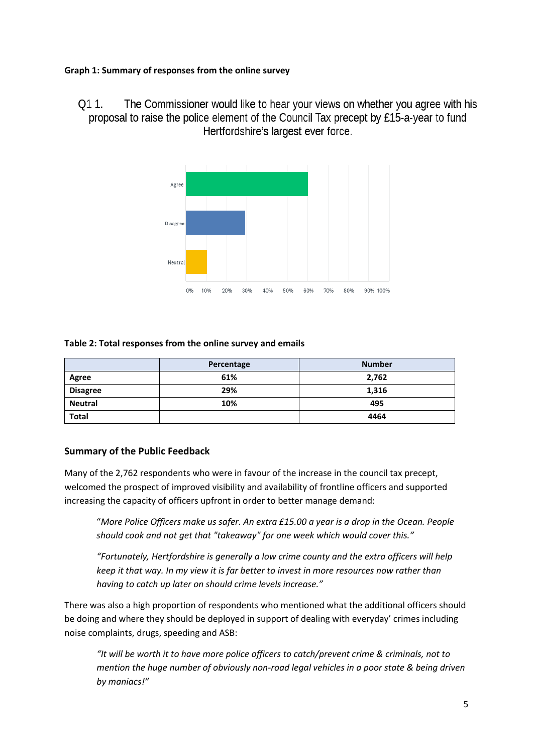### **Graph 1: Summary of responses from the online survey**

The Commissioner would like to hear your views on whether you agree with his O1 1. proposal to raise the police element of the Council Tax precept by £15-a-year to fund Hertfordshire's largest ever force.



#### **Table 2: Total responses from the online survey and emails**

|                 | Percentage | <b>Number</b> |  |  |
|-----------------|------------|---------------|--|--|
| Agree           | 61%        | 2,762         |  |  |
| <b>Disagree</b> | 29%        | 1,316         |  |  |
| <b>Neutral</b>  | 10%        | 495           |  |  |
| <b>Total</b>    |            | 4464          |  |  |

## **Summary of the Public Feedback**

Many of the 2,762 respondents who were in favour of the increase in the council tax precept, welcomed the prospect of improved visibility and availability of frontline officers and supported increasing the capacity of officers upfront in order to better manage demand:

"*More Police Officers make us safer. An extra £15.00 a year is a drop in the Ocean. People should cook and not get that "takeaway" for one week which would cover this."*

*"Fortunately, Hertfordshire is generally a low crime county and the extra officers will help keep it that way. In my view it is far better to invest in more resources now rather than having to catch up later on should crime levels increase."*

There was also a high proportion of respondents who mentioned what the additional officers should be doing and where they should be deployed in support of dealing with everyday' crimes including noise complaints, drugs, speeding and ASB:

*"It will be worth it to have more police officers to catch/prevent crime & criminals, not to mention the huge number of obviously non-road legal vehicles in a poor state & being driven by maniacs!"*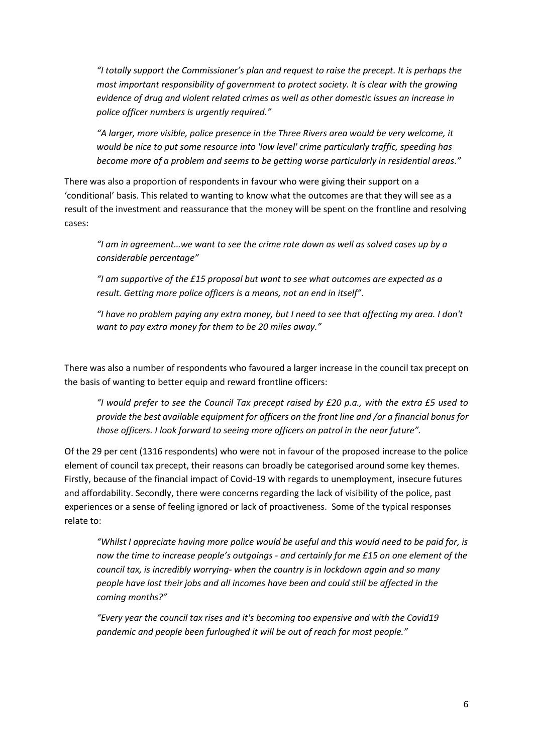*"I totally support the Commissioner's plan and request to raise the precept. It is perhaps the most important responsibility of government to protect society. It is clear with the growing evidence of drug and violent related crimes as well as other domestic issues an increase in police officer numbers is urgently required."*

*"A larger, more visible, police presence in the Three Rivers area would be very welcome, it would be nice to put some resource into 'low level' crime particularly traffic, speeding has become more of a problem and seems to be getting worse particularly in residential areas."*

There was also a proportion of respondents in favour who were giving their support on a 'conditional' basis. This related to wanting to know what the outcomes are that they will see as a result of the investment and reassurance that the money will be spent on the frontline and resolving cases:

*"I am in agreement…we want to see the crime rate down as well as solved cases up by a considerable percentage"*

*"I am supportive of the £15 proposal but want to see what outcomes are expected as a result. Getting more police officers is a means, not an end in itself".*

*"I have no problem paying any extra money, but I need to see that affecting my area. I don't want to pay extra money for them to be 20 miles away."*

There was also a number of respondents who favoured a larger increase in the council tax precept on the basis of wanting to better equip and reward frontline officers:

*"I would prefer to see the Council Tax precept raised by £20 p.a., with the extra £5 used to provide the best available equipment for officers on the front line and /or a financial bonus for those officers. I look forward to seeing more officers on patrol in the near future".*

Of the 29 per cent (1316 respondents) who were not in favour of the proposed increase to the police element of council tax precept, their reasons can broadly be categorised around some key themes. Firstly, because of the financial impact of Covid-19 with regards to unemployment, insecure futures and affordability. Secondly, there were concerns regarding the lack of visibility of the police, past experiences or a sense of feeling ignored or lack of proactiveness. Some of the typical responses relate to:

*"Whilst I appreciate having more police would be useful and this would need to be paid for, is now the time to increase people's outgoings - and certainly for me £15 on one element of the council tax, is incredibly worrying- when the country is in lockdown again and so many people have lost their jobs and all incomes have been and could still be affected in the coming months?"*

*"Every year the council tax rises and it's becoming too expensive and with the Covid19 pandemic and people been furloughed it will be out of reach for most people."*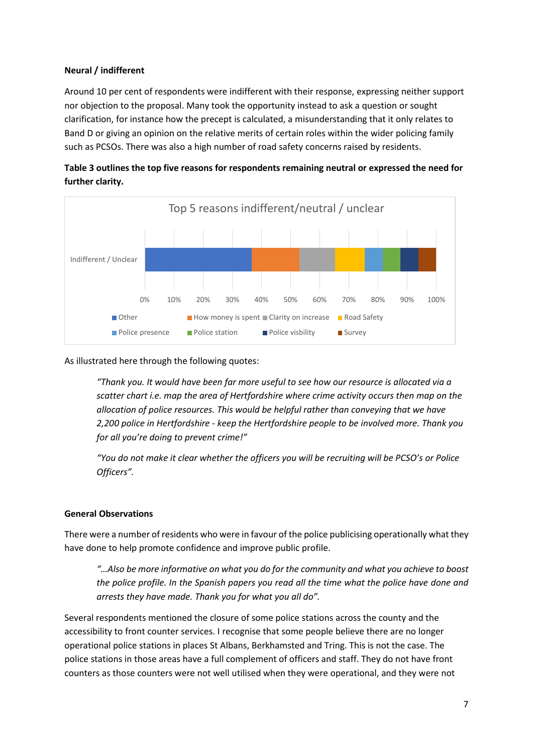## **Neural / indifferent**

Around 10 per cent of respondents were indifferent with their response, expressing neither support nor objection to the proposal. Many took the opportunity instead to ask a question or sought clarification, for instance how the precept is calculated, a misunderstanding that it only relates to Band D or giving an opinion on the relative merits of certain roles within the wider policing family such as PCSOs. There was also a high number of road safety concerns raised by residents.





#### As illustrated here through the following quotes:

*"Thank you. It would have been far more useful to see how our resource is allocated via a scatter chart i.e. map the area of Hertfordshire where crime activity occurs then map on the allocation of police resources. This would be helpful rather than conveying that we have 2,200 police in Hertfordshire - keep the Hertfordshire people to be involved more. Thank you for all you're doing to prevent crime!"*

*"You do not make it clear whether the officers you will be recruiting will be PCSO's or Police Officers".* 

#### **General Observations**

There were a number of residents who were in favour of the police publicising operationally what they have done to help promote confidence and improve public profile.

*"…Also be more informative on what you do for the community and what you achieve to boost the police profile. In the Spanish papers you read all the time what the police have done and arrests they have made. Thank you for what you all do".*

Several respondents mentioned the closure of some police stations across the county and the accessibility to front counter services. I recognise that some people believe there are no longer operational police stations in places St Albans, Berkhamsted and Tring. This is not the case. The police stations in those areas have a full complement of officers and staff. They do not have front counters as those counters were not well utilised when they were operational, and they were not